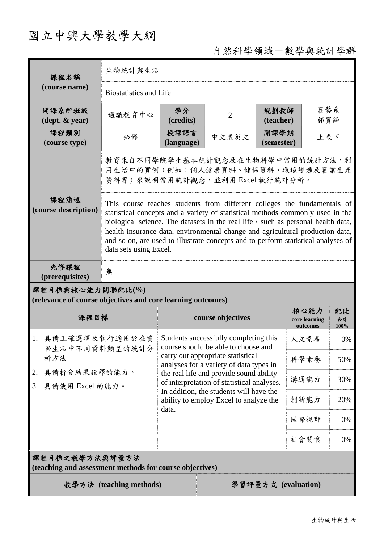# 國立中興大學教學大綱

## 自然科學領域-數學與統計學群

| 課程名稱<br>(course name)                                                                     | 生物統計與生活                                                                                                                                                                                                                                                                                                                                                                                                                                        |                                                                                                                                                                                                                                                                                                                                                     |                   |                    |                                   |                  |  |
|-------------------------------------------------------------------------------------------|------------------------------------------------------------------------------------------------------------------------------------------------------------------------------------------------------------------------------------------------------------------------------------------------------------------------------------------------------------------------------------------------------------------------------------------------|-----------------------------------------------------------------------------------------------------------------------------------------------------------------------------------------------------------------------------------------------------------------------------------------------------------------------------------------------------|-------------------|--------------------|-----------------------------------|------------------|--|
|                                                                                           | <b>Biostatistics and Life</b>                                                                                                                                                                                                                                                                                                                                                                                                                  |                                                                                                                                                                                                                                                                                                                                                     |                   |                    |                                   |                  |  |
| 開課系所班級<br>$(\text{dept.} \& \text{ year})$                                                | 通識教育中心                                                                                                                                                                                                                                                                                                                                                                                                                                         | 學分<br>(credits)                                                                                                                                                                                                                                                                                                                                     | $\overline{2}$    | 規劃教師<br>(teacher)  |                                   | 農藝系<br>郭寶錚       |  |
| 課程類別<br>(course type)                                                                     | 必修                                                                                                                                                                                                                                                                                                                                                                                                                                             | 授課語言<br>(language)                                                                                                                                                                                                                                                                                                                                  | 中文或英文             | 開課學期<br>(semester) |                                   | 上或下              |  |
|                                                                                           | 教育來自不同學院學生基本統計觀念及在生物科學中常用的統計方法,利<br>用生活中的實例(例如:個人健康資料、健保資料、環境變遷及農業生產<br>資料等) 來說明常用統計觀念, 並利用 Excel 執行統計分析。                                                                                                                                                                                                                                                                                                                                      |                                                                                                                                                                                                                                                                                                                                                     |                   |                    |                                   |                  |  |
| 課程簡述<br>(course description)                                                              | This course teaches students from different colleges the fundamentals of<br>statistical concepts and a variety of statistical methods commonly used in the<br>biological science. The datasets in the real life, such as personal health data,<br>health insurance data, environmental change and agricultural production data,<br>and so on, are used to illustrate concepts and to perform statistical analyses of<br>data sets using Excel. |                                                                                                                                                                                                                                                                                                                                                     |                   |                    |                                   |                  |  |
| 先修課程<br>(prerequisites)                                                                   | 無                                                                                                                                                                                                                                                                                                                                                                                                                                              |                                                                                                                                                                                                                                                                                                                                                     |                   |                    |                                   |                  |  |
| 課程目標與核心能力關聯配比(%)<br>(relevance of course objectives and core learning outcomes)           |                                                                                                                                                                                                                                                                                                                                                                                                                                                |                                                                                                                                                                                                                                                                                                                                                     |                   |                    |                                   |                  |  |
| 課程目標                                                                                      |                                                                                                                                                                                                                                                                                                                                                                                                                                                |                                                                                                                                                                                                                                                                                                                                                     | course objectives |                    | 核心能力<br>core learning<br>outcomes | 配比<br>合計<br>100% |  |
| 1. 具備正確選擇及執行適用於在實<br>際生活中不同資料類型的統計分<br>析方法<br>具備析分結果詮釋的能力。<br>2.<br>具備使用 Excel 的能力。<br>3. |                                                                                                                                                                                                                                                                                                                                                                                                                                                | Students successfully completing this<br>course should be able to choose and<br>carry out appropriate statistical<br>analyses for a variety of data types in<br>the real life and provide sound ability<br>of interpretation of statistical analyses.<br>In addition, the students will have the<br>ability to employ Excel to analyze the<br>data. |                   |                    | 人文素養                              | 0%               |  |
|                                                                                           |                                                                                                                                                                                                                                                                                                                                                                                                                                                |                                                                                                                                                                                                                                                                                                                                                     |                   |                    | 科學素養                              | 50%              |  |
|                                                                                           |                                                                                                                                                                                                                                                                                                                                                                                                                                                |                                                                                                                                                                                                                                                                                                                                                     |                   |                    | 溝通能力                              | 30%              |  |
|                                                                                           |                                                                                                                                                                                                                                                                                                                                                                                                                                                |                                                                                                                                                                                                                                                                                                                                                     |                   |                    | 創新能力                              | 20%              |  |
|                                                                                           |                                                                                                                                                                                                                                                                                                                                                                                                                                                |                                                                                                                                                                                                                                                                                                                                                     |                   |                    | 國際視野                              | 0%               |  |
|                                                                                           |                                                                                                                                                                                                                                                                                                                                                                                                                                                |                                                                                                                                                                                                                                                                                                                                                     |                   |                    | 社會關懷                              | 0%               |  |
| 課程目標之教學方法與評量方法<br>(teaching and assessment methods for course objectives)                 |                                                                                                                                                                                                                                                                                                                                                                                                                                                |                                                                                                                                                                                                                                                                                                                                                     |                   |                    |                                   |                  |  |
| 教學方法 (teaching methods)<br>學習評量方式 (evaluation)                                            |                                                                                                                                                                                                                                                                                                                                                                                                                                                |                                                                                                                                                                                                                                                                                                                                                     |                   |                    |                                   |                  |  |